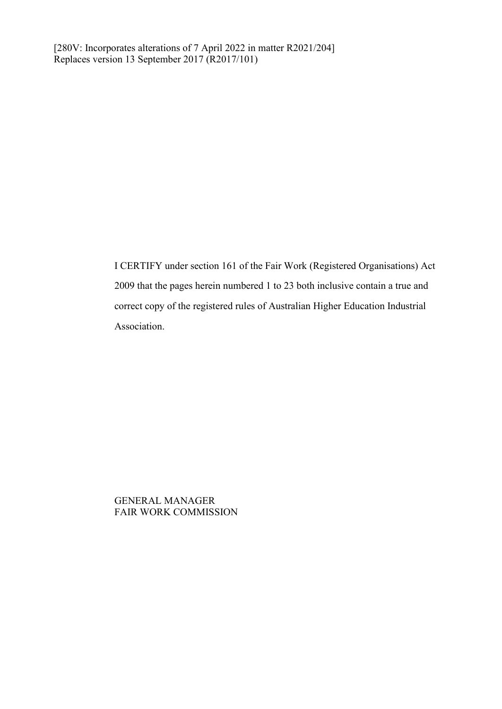I CERTIFY under section 161 of the Fair Work (Registered Organisations) Act 2009 that the pages herein numbered 1 to 23 both inclusive contain a true and correct copy of the registered rules of Australian Higher Education Industrial Association.

GENERAL MANAGER FAIR WORK COMMISSION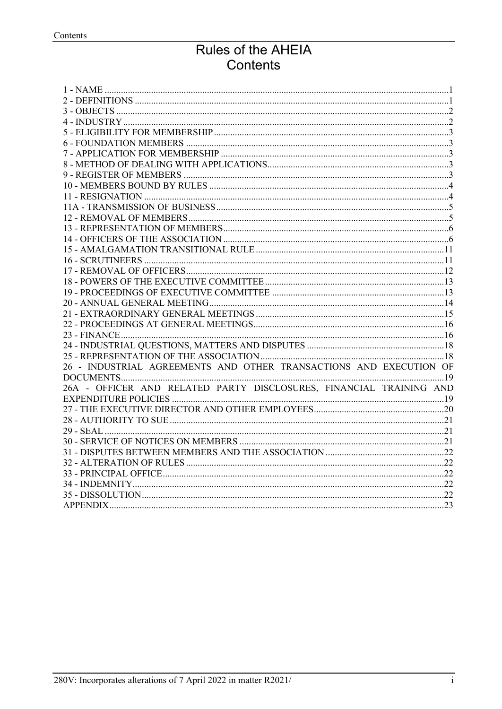# Rules of the AHEIA Contents

| 26 - INDUSTRIAL AGREEMENTS AND OTHER TRANSACTIONS AND EXECUTION OF  |  |
|---------------------------------------------------------------------|--|
|                                                                     |  |
| 26A - OFFICER AND RELATED PARTY DISCLOSURES, FINANCIAL TRAINING AND |  |
|                                                                     |  |
|                                                                     |  |
|                                                                     |  |
|                                                                     |  |
|                                                                     |  |
|                                                                     |  |
|                                                                     |  |
|                                                                     |  |
|                                                                     |  |
|                                                                     |  |
|                                                                     |  |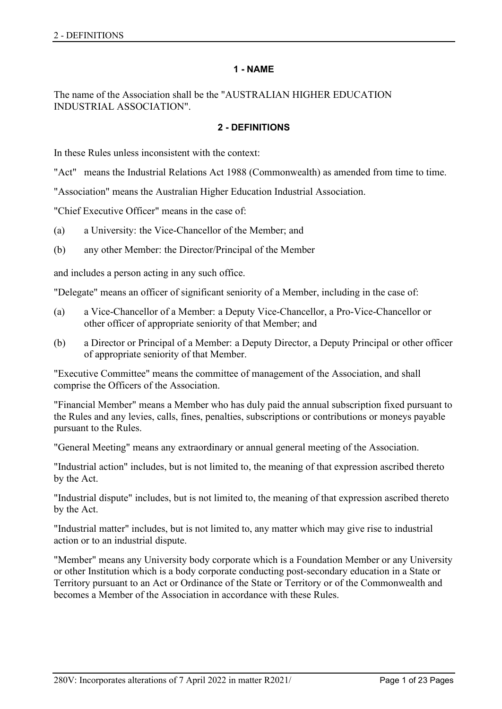## **1 - NAME**

<span id="page-2-1"></span><span id="page-2-0"></span>The name of the Association shall be the "AUSTRALIAN HIGHER EDUCATION INDUSTRIAL ASSOCIATION".

## **2 - DEFINITIONS**

In these Rules unless inconsistent with the context:

"Act" means the Industrial Relations Act 1988 (Commonwealth) as amended from time to time.

"Association" means the Australian Higher Education Industrial Association.

"Chief Executive Officer" means in the case of:

- (a) a University: the Vice-Chancellor of the Member; and
- (b) any other Member: the Director/Principal of the Member

and includes a person acting in any such office.

"Delegate" means an officer of significant seniority of a Member, including in the case of:

- (a) a Vice-Chancellor of a Member: a Deputy Vice-Chancellor, a Pro-Vice-Chancellor or other officer of appropriate seniority of that Member; and
- (b) a Director or Principal of a Member: a Deputy Director, a Deputy Principal or other officer of appropriate seniority of that Member.

"Executive Committee" means the committee of management of the Association, and shall comprise the Officers of the Association.

"Financial Member" means a Member who has duly paid the annual subscription fixed pursuant to the Rules and any levies, calls, fines, penalties, subscriptions or contributions or moneys payable pursuant to the Rules.

"General Meeting" means any extraordinary or annual general meeting of the Association.

"Industrial action" includes, but is not limited to, the meaning of that expression ascribed thereto by the Act.

"Industrial dispute" includes, but is not limited to, the meaning of that expression ascribed thereto by the Act.

"Industrial matter" includes, but is not limited to, any matter which may give rise to industrial action or to an industrial dispute.

"Member" means any University body corporate which is a Foundation Member or any University or other Institution which is a body corporate conducting post-secondary education in a State or Territory pursuant to an Act or Ordinance of the State or Territory or of the Commonwealth and becomes a Member of the Association in accordance with these Rules.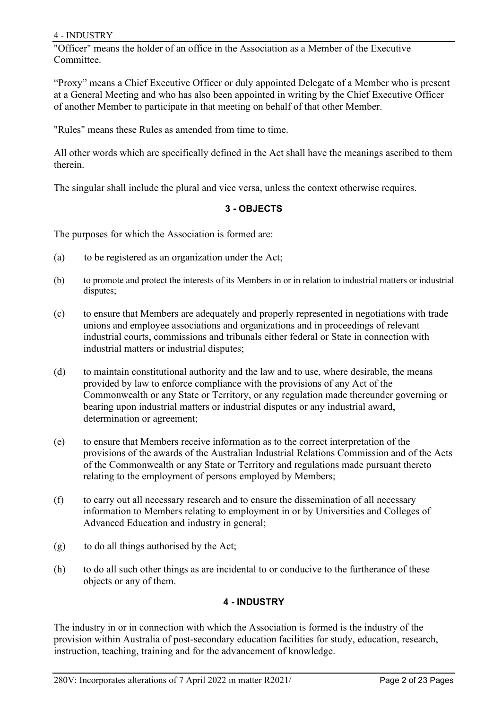## 4 - INDUSTRY

"Officer" means the holder of an office in the Association as a Member of the Executive Committee.

"Proxy" means a Chief Executive Officer or duly appointed Delegate of a Member who is present at a General Meeting and who has also been appointed in writing by the Chief Executive Officer of another Member to participate in that meeting on behalf of that other Member.

"Rules" means these Rules as amended from time to time.

All other words which are specifically defined in the Act shall have the meanings ascribed to them therein.

<span id="page-3-0"></span>The singular shall include the plural and vice versa, unless the context otherwise requires.

# **3 - OBJECTS**

The purposes for which the Association is formed are:

- (a) to be registered as an organization under the Act;
- (b) to promote and protect the interests of its Members in or in relation to industrial matters or industrial disputes;
- (c) to ensure that Members are adequately and properly represented in negotiations with trade unions and employee associations and organizations and in proceedings of relevant industrial courts, commissions and tribunals either federal or State in connection with industrial matters or industrial disputes;
- (d) to maintain constitutional authority and the law and to use, where desirable, the means provided by law to enforce compliance with the provisions of any Act of the Commonwealth or any State or Territory, or any regulation made thereunder governing or bearing upon industrial matters or industrial disputes or any industrial award, determination or agreement;
- (e) to ensure that Members receive information as to the correct interpretation of the provisions of the awards of the Australian Industrial Relations Commission and of the Acts of the Commonwealth or any State or Territory and regulations made pursuant thereto relating to the employment of persons employed by Members;
- (f) to carry out all necessary research and to ensure the dissemination of all necessary information to Members relating to employment in or by Universities and Colleges of Advanced Education and industry in general;
- (g) to do all things authorised by the Act;
- <span id="page-3-1"></span>(h) to do all such other things as are incidental to or conducive to the furtherance of these objects or any of them.

# **4 - INDUSTRY**

The industry in or in connection with which the Association is formed is the industry of the provision within Australia of post-secondary education facilities for study, education, research, instruction, teaching, training and for the advancement of knowledge.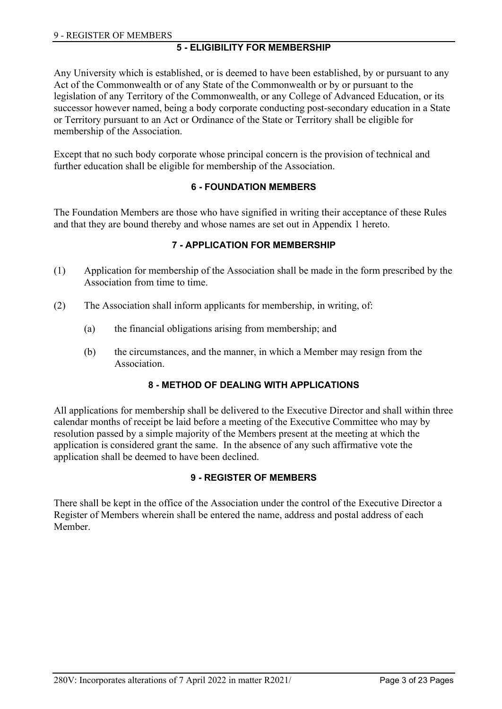# **5 - ELIGIBILITY FOR MEMBERSHIP**

<span id="page-4-0"></span>Any University which is established, or is deemed to have been established, by or pursuant to any Act of the Commonwealth or of any State of the Commonwealth or by or pursuant to the legislation of any Territory of the Commonwealth, or any College of Advanced Education, or its successor however named, being a body corporate conducting post-secondary education in a State or Territory pursuant to an Act or Ordinance of the State or Territory shall be eligible for membership of the Association.

<span id="page-4-1"></span>Except that no such body corporate whose principal concern is the provision of technical and further education shall be eligible for membership of the Association.

# **6 - FOUNDATION MEMBERS**

<span id="page-4-2"></span>The Foundation Members are those who have signified in writing their acceptance of these Rules and that they are bound thereby and whose names are set out in Appendix 1 hereto.

# **7 - APPLICATION FOR MEMBERSHIP**

- (1) Application for membership of the Association shall be made in the form prescribed by the Association from time to time.
- (2) The Association shall inform applicants for membership, in writing, of:
	- (a) the financial obligations arising from membership; and
	- (b) the circumstances, and the manner, in which a Member may resign from the Association.

# **8 - METHOD OF DEALING WITH APPLICATIONS**

<span id="page-4-3"></span>All applications for membership shall be delivered to the Executive Director and shall within three calendar months of receipt be laid before a meeting of the Executive Committee who may by resolution passed by a simple majority of the Members present at the meeting at which the application is considered grant the same. In the absence of any such affirmative vote the application shall be deemed to have been declined.

# **9 - REGISTER OF MEMBERS**

<span id="page-4-4"></span>There shall be kept in the office of the Association under the control of the Executive Director a Register of Members wherein shall be entered the name, address and postal address of each Member.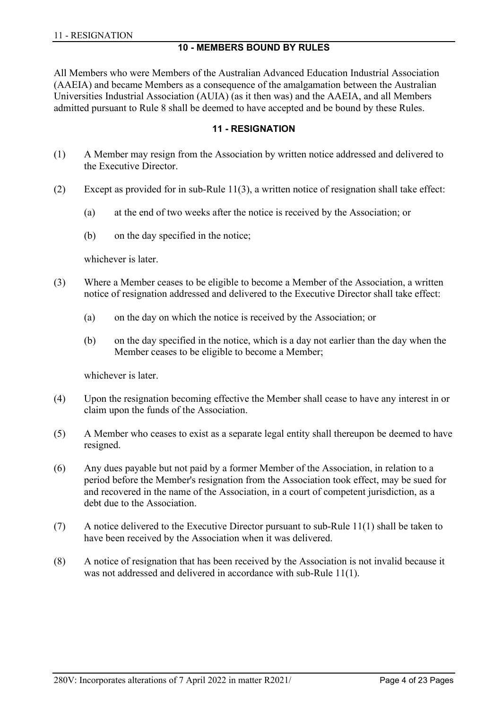#### **10 - MEMBERS BOUND BY RULES**

<span id="page-5-0"></span>All Members who were Members of the Australian Advanced Education Industrial Association (AAEIA) and became Members as a consequence of the amalgamation between the Australian Universities Industrial Association (AUIA) (as it then was) and the AAEIA, and all Members admitted pursuant to Rule 8 shall be deemed to have accepted and be bound by these Rules.

#### **11 - RESIGNATION**

- <span id="page-5-1"></span>(1) A Member may resign from the Association by written notice addressed and delivered to the Executive Director.
- $(2)$  Except as provided for in sub-Rule 11(3), a written notice of resignation shall take effect:
	- (a) at the end of two weeks after the notice is received by the Association; or
	- (b) on the day specified in the notice;

whichever is later.

- (3) Where a Member ceases to be eligible to become a Member of the Association, a written notice of resignation addressed and delivered to the Executive Director shall take effect:
	- (a) on the day on which the notice is received by the Association; or
	- (b) on the day specified in the notice, which is a day not earlier than the day when the Member ceases to be eligible to become a Member;

whichever is later.

- (4) Upon the resignation becoming effective the Member shall cease to have any interest in or claim upon the funds of the Association.
- (5) A Member who ceases to exist as a separate legal entity shall thereupon be deemed to have resigned.
- (6) Any dues payable but not paid by a former Member of the Association, in relation to a period before the Member's resignation from the Association took effect, may be sued for and recovered in the name of the Association, in a court of competent jurisdiction, as a debt due to the Association.
- (7) A notice delivered to the Executive Director pursuant to sub-Rule 11(1) shall be taken to have been received by the Association when it was delivered.
- (8) A notice of resignation that has been received by the Association is not invalid because it was not addressed and delivered in accordance with sub-Rule 11(1).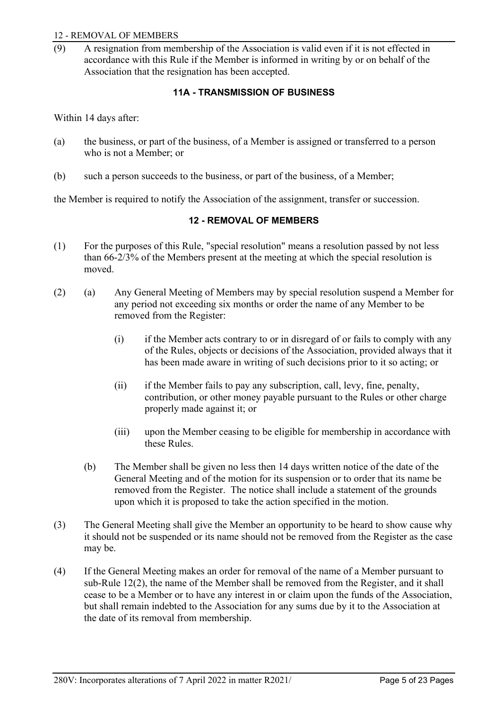#### 12 - REMOVAL OF MEMBERS

<span id="page-6-0"></span>(9) A resignation from membership of the Association is valid even if it is not effected in accordance with this Rule if the Member is informed in writing by or on behalf of the Association that the resignation has been accepted.

# **11A - TRANSMISSION OF BUSINESS**

Within 14 days after:

- (a) the business, or part of the business, of a Member is assigned or transferred to a person who is not a Member; or
- (b) such a person succeeds to the business, or part of the business, of a Member;

<span id="page-6-1"></span>the Member is required to notify the Association of the assignment, transfer or succession.

# **12 - REMOVAL OF MEMBERS**

- (1) For the purposes of this Rule, "special resolution" means a resolution passed by not less than 66-2/3% of the Members present at the meeting at which the special resolution is moved.
- (2) (a) Any General Meeting of Members may by special resolution suspend a Member for any period not exceeding six months or order the name of any Member to be removed from the Register:
	- (i) if the Member acts contrary to or in disregard of or fails to comply with any of the Rules, objects or decisions of the Association, provided always that it has been made aware in writing of such decisions prior to it so acting; or
	- (ii) if the Member fails to pay any subscription, call, levy, fine, penalty, contribution, or other money payable pursuant to the Rules or other charge properly made against it; or
	- (iii) upon the Member ceasing to be eligible for membership in accordance with these Rules.
	- (b) The Member shall be given no less then 14 days written notice of the date of the General Meeting and of the motion for its suspension or to order that its name be removed from the Register. The notice shall include a statement of the grounds upon which it is proposed to take the action specified in the motion.
- (3) The General Meeting shall give the Member an opportunity to be heard to show cause why it should not be suspended or its name should not be removed from the Register as the case may be.
- (4) If the General Meeting makes an order for removal of the name of a Member pursuant to sub-Rule 12(2), the name of the Member shall be removed from the Register, and it shall cease to be a Member or to have any interest in or claim upon the funds of the Association, but shall remain indebted to the Association for any sums due by it to the Association at the date of its removal from membership.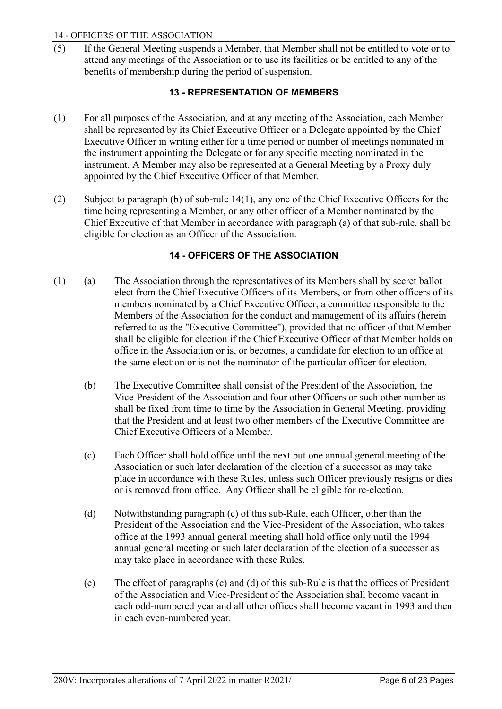## 14 - OFFICERS OF THE ASSOCIATION

<span id="page-7-0"></span>(5) If the General Meeting suspends a Member, that Member shall not be entitled to vote or to attend any meetings of the Association or to use its facilities or be entitled to any of the benefits of membership during the period of suspension.

# **13 - REPRESENTATION OF MEMBERS**

- (1) For all purposes of the Association, and at any meeting of the Association, each Member shall be represented by its Chief Executive Officer or a Delegate appointed by the Chief Executive Officer in writing either for a time period or number of meetings nominated in the instrument appointing the Delegate or for any specific meeting nominated in the instrument. A Member may also be represented at a General Meeting by a Proxy duly appointed by the Chief Executive Officer of that Member.
- (2) Subject to paragraph (b) of sub-rule 14(1), any one of the Chief Executive Officers for the time being representing a Member, or any other officer of a Member nominated by the Chief Executive of that Member in accordance with paragraph (a) of that sub-rule, shall be eligible for election as an Officer of the Association.

## **14 - OFFICERS OF THE ASSOCIATION**

- <span id="page-7-1"></span>(1) (a) The Association through the representatives of its Members shall by secret ballot elect from the Chief Executive Officers of its Members, or from other officers of its members nominated by a Chief Executive Officer, a committee responsible to the Members of the Association for the conduct and management of its affairs (herein referred to as the "Executive Committee"), provided that no officer of that Member shall be eligible for election if the Chief Executive Officer of that Member holds on office in the Association or is, or becomes, a candidate for election to an office at the same election or is not the nominator of the particular officer for election.
	- (b) The Executive Committee shall consist of the President of the Association, the Vice-President of the Association and four other Officers or such other number as shall be fixed from time to time by the Association in General Meeting, providing that the President and at least two other members of the Executive Committee are Chief Executive Officers of a Member.
	- (c) Each Officer shall hold office until the next but one annual general meeting of the Association or such later declaration of the election of a successor as may take place in accordance with these Rules, unless such Officer previously resigns or dies or is removed from office. Any Officer shall be eligible for re-election.
	- (d) Notwithstanding paragraph (c) of this sub-Rule, each Officer, other than the President of the Association and the Vice-President of the Association, who takes office at the 1993 annual general meeting shall hold office only until the 1994 annual general meeting or such later declaration of the election of a successor as may take place in accordance with these Rules.
	- (e) The effect of paragraphs (c) and (d) of this sub-Rule is that the offices of President of the Association and Vice-President of the Association shall become vacant in each odd-numbered year and all other offices shall become vacant in 1993 and then in each even-numbered year.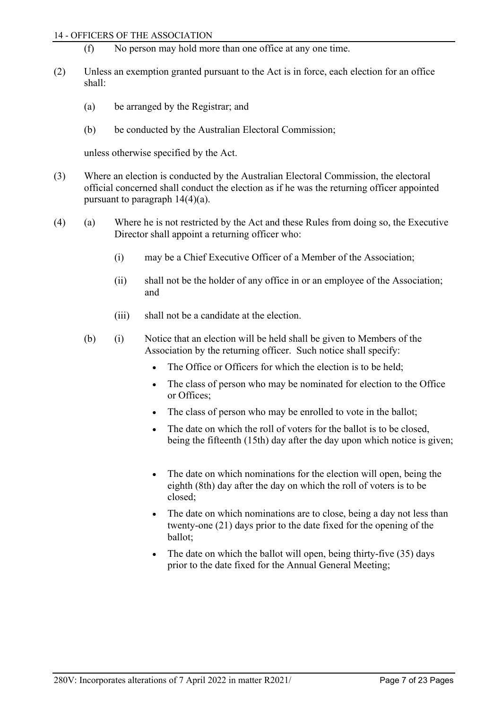#### 14 - OFFICERS OF THE ASSOCIATION

- (f) No person may hold more than one office at any one time.
- (2) Unless an exemption granted pursuant to the Act is in force, each election for an office shall:
	- (a) be arranged by the Registrar; and
	- (b) be conducted by the Australian Electoral Commission;

unless otherwise specified by the Act.

- (3) Where an election is conducted by the Australian Electoral Commission, the electoral official concerned shall conduct the election as if he was the returning officer appointed pursuant to paragraph 14(4)(a).
- (4) (a) Where he is not restricted by the Act and these Rules from doing so, the Executive Director shall appoint a returning officer who:
	- (i) may be a Chief Executive Officer of a Member of the Association;
	- (ii) shall not be the holder of any office in or an employee of the Association; and
	- (iii) shall not be a candidate at the election.
	- (b) (i) Notice that an election will be held shall be given to Members of the Association by the returning officer. Such notice shall specify:
		- The Office or Officers for which the election is to be held;
		- The class of person who may be nominated for election to the Office or Offices;
		- The class of person who may be enrolled to vote in the ballot;
		- The date on which the roll of voters for the ballot is to be closed, being the fifteenth (15th) day after the day upon which notice is given;
		- The date on which nominations for the election will open, being the eighth (8th) day after the day on which the roll of voters is to be closed;
		- The date on which nominations are to close, being a day not less than twenty-one (21) days prior to the date fixed for the opening of the ballot;
		- The date on which the ballot will open, being thirty-five (35) days prior to the date fixed for the Annual General Meeting;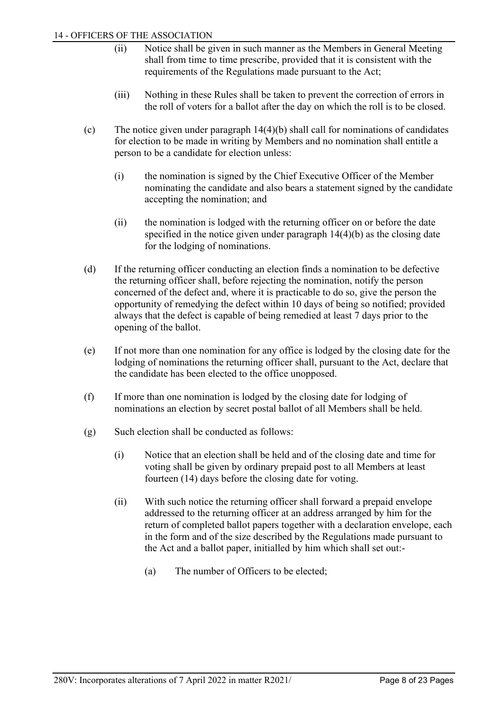- (ii) Notice shall be given in such manner as the Members in General Meeting shall from time to time prescribe, provided that it is consistent with the requirements of the Regulations made pursuant to the Act;
- (iii) Nothing in these Rules shall be taken to prevent the correction of errors in the roll of voters for a ballot after the day on which the roll is to be closed.
- (c) The notice given under paragraph 14(4)(b) shall call for nominations of candidates for election to be made in writing by Members and no nomination shall entitle a person to be a candidate for election unless:
	- (i) the nomination is signed by the Chief Executive Officer of the Member nominating the candidate and also bears a statement signed by the candidate accepting the nomination; and
	- (ii) the nomination is lodged with the returning officer on or before the date specified in the notice given under paragraph 14(4)(b) as the closing date for the lodging of nominations.
- (d) If the returning officer conducting an election finds a nomination to be defective the returning officer shall, before rejecting the nomination, notify the person concerned of the defect and, where it is practicable to do so, give the person the opportunity of remedying the defect within 10 days of being so notified; provided always that the defect is capable of being remedied at least 7 days prior to the opening of the ballot.
- (e) If not more than one nomination for any office is lodged by the closing date for the lodging of nominations the returning officer shall, pursuant to the Act, declare that the candidate has been elected to the office unopposed.
- (f) If more than one nomination is lodged by the closing date for lodging of nominations an election by secret postal ballot of all Members shall be held.
- (g) Such election shall be conducted as follows:
	- (i) Notice that an election shall be held and of the closing date and time for voting shall be given by ordinary prepaid post to all Members at least fourteen (14) days before the closing date for voting.
	- (ii) With such notice the returning officer shall forward a prepaid envelope addressed to the returning officer at an address arranged by him for the return of completed ballot papers together with a declaration envelope, each in the form and of the size described by the Regulations made pursuant to the Act and a ballot paper, initialled by him which shall set out:-
		- (a) The number of Officers to be elected;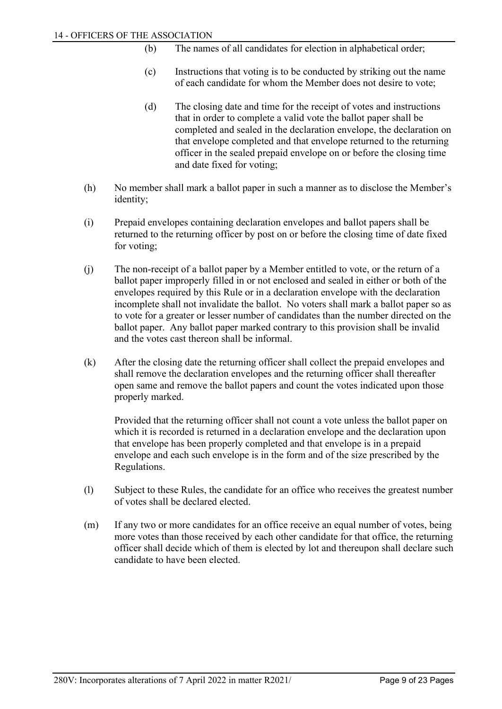- (b) The names of all candidates for election in alphabetical order;
- (c) Instructions that voting is to be conducted by striking out the name of each candidate for whom the Member does not desire to vote;
- (d) The closing date and time for the receipt of votes and instructions that in order to complete a valid vote the ballot paper shall be completed and sealed in the declaration envelope, the declaration on that envelope completed and that envelope returned to the returning officer in the sealed prepaid envelope on or before the closing time and date fixed for voting;
- (h) No member shall mark a ballot paper in such a manner as to disclose the Member's identity;
- (i) Prepaid envelopes containing declaration envelopes and ballot papers shall be returned to the returning officer by post on or before the closing time of date fixed for voting;
- (j) The non-receipt of a ballot paper by a Member entitled to vote, or the return of a ballot paper improperly filled in or not enclosed and sealed in either or both of the envelopes required by this Rule or in a declaration envelope with the declaration incomplete shall not invalidate the ballot. No voters shall mark a ballot paper so as to vote for a greater or lesser number of candidates than the number directed on the ballot paper. Any ballot paper marked contrary to this provision shall be invalid and the votes cast thereon shall be informal.
- (k) After the closing date the returning officer shall collect the prepaid envelopes and shall remove the declaration envelopes and the returning officer shall thereafter open same and remove the ballot papers and count the votes indicated upon those properly marked.

Provided that the returning officer shall not count a vote unless the ballot paper on which it is recorded is returned in a declaration envelope and the declaration upon that envelope has been properly completed and that envelope is in a prepaid envelope and each such envelope is in the form and of the size prescribed by the Regulations.

- (l) Subject to these Rules, the candidate for an office who receives the greatest number of votes shall be declared elected.
- (m) If any two or more candidates for an office receive an equal number of votes, being more votes than those received by each other candidate for that office, the returning officer shall decide which of them is elected by lot and thereupon shall declare such candidate to have been elected.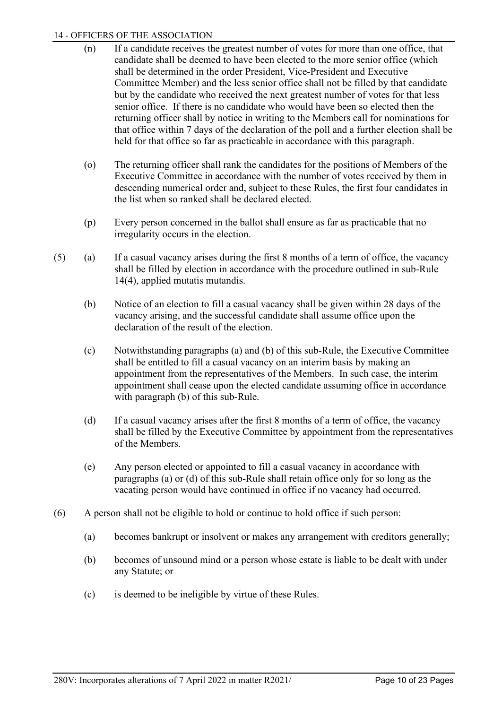## 14 - OFFICERS OF THE ASSOCIATION

- (n) If a candidate receives the greatest number of votes for more than one office, that candidate shall be deemed to have been elected to the more senior office (which shall be determined in the order President, Vice-President and Executive Committee Member) and the less senior office shall not be filled by that candidate but by the candidate who received the next greatest number of votes for that less senior office. If there is no candidate who would have been so elected then the returning officer shall by notice in writing to the Members call for nominations for that office within 7 days of the declaration of the poll and a further election shall be held for that office so far as practicable in accordance with this paragraph.
- (o) The returning officer shall rank the candidates for the positions of Members of the Executive Committee in accordance with the number of votes received by them in descending numerical order and, subject to these Rules, the first four candidates in the list when so ranked shall be declared elected.
- (p) Every person concerned in the ballot shall ensure as far as practicable that no irregularity occurs in the election.
- (5) (a) If a casual vacancy arises during the first 8 months of a term of office, the vacancy shall be filled by election in accordance with the procedure outlined in sub-Rule 14(4), applied mutatis mutandis.
	- (b) Notice of an election to fill a casual vacancy shall be given within 28 days of the vacancy arising, and the successful candidate shall assume office upon the declaration of the result of the election.
	- (c) Notwithstanding paragraphs (a) and (b) of this sub-Rule, the Executive Committee shall be entitled to fill a casual vacancy on an interim basis by making an appointment from the representatives of the Members. In such case, the interim appointment shall cease upon the elected candidate assuming office in accordance with paragraph (b) of this sub-Rule.
	- (d) If a casual vacancy arises after the first 8 months of a term of office, the vacancy shall be filled by the Executive Committee by appointment from the representatives of the Members.
	- (e) Any person elected or appointed to fill a casual vacancy in accordance with paragraphs (a) or (d) of this sub-Rule shall retain office only for so long as the vacating person would have continued in office if no vacancy had occurred.
- (6) A person shall not be eligible to hold or continue to hold office if such person:
	- (a) becomes bankrupt or insolvent or makes any arrangement with creditors generally;
	- (b) becomes of unsound mind or a person whose estate is liable to be dealt with under any Statute; or
	- (c) is deemed to be ineligible by virtue of these Rules.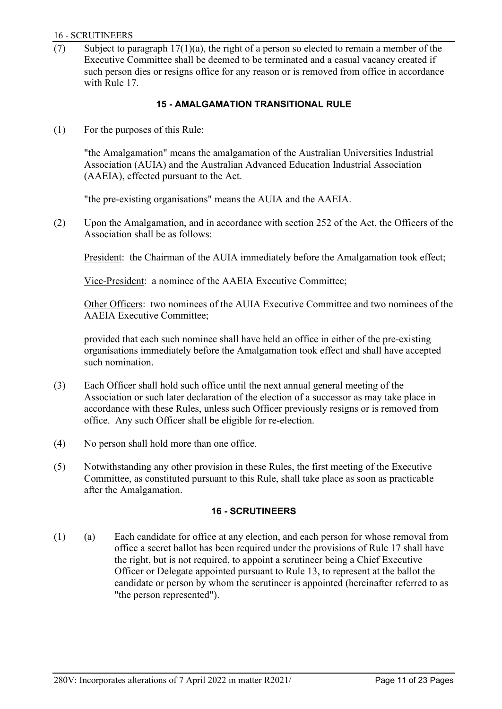#### 16 - SCRUTINEERS

(7) Subject to paragraph  $17(1)(a)$ , the right of a person so elected to remain a member of the Executive Committee shall be deemed to be terminated and a casual vacancy created if such person dies or resigns office for any reason or is removed from office in accordance with Rule 17.

## **15 - AMALGAMATION TRANSITIONAL RULE**

<span id="page-12-0"></span>(1) For the purposes of this Rule:

"the Amalgamation" means the amalgamation of the Australian Universities Industrial Association (AUIA) and the Australian Advanced Education Industrial Association (AAEIA), effected pursuant to the Act.

"the pre-existing organisations" means the AUIA and the AAEIA.

(2) Upon the Amalgamation, and in accordance with section 252 of the Act, the Officers of the Association shall be as follows:

President: the Chairman of the AUIA immediately before the Amalgamation took effect;

Vice-President: a nominee of the AAEIA Executive Committee;

Other Officers: two nominees of the AUIA Executive Committee and two nominees of the AAEIA Executive Committee;

provided that each such nominee shall have held an office in either of the pre-existing organisations immediately before the Amalgamation took effect and shall have accepted such nomination.

- (3) Each Officer shall hold such office until the next annual general meeting of the Association or such later declaration of the election of a successor as may take place in accordance with these Rules, unless such Officer previously resigns or is removed from office. Any such Officer shall be eligible for re-election.
- (4) No person shall hold more than one office.
- <span id="page-12-1"></span>(5) Notwithstanding any other provision in these Rules, the first meeting of the Executive Committee, as constituted pursuant to this Rule, shall take place as soon as practicable after the Amalgamation.

## **16 - SCRUTINEERS**

(1) (a) Each candidate for office at any election, and each person for whose removal from office a secret ballot has been required under the provisions of Rule 17 shall have the right, but is not required, to appoint a scrutineer being a Chief Executive Officer or Delegate appointed pursuant to Rule 13, to represent at the ballot the candidate or person by whom the scrutineer is appointed (hereinafter referred to as "the person represented").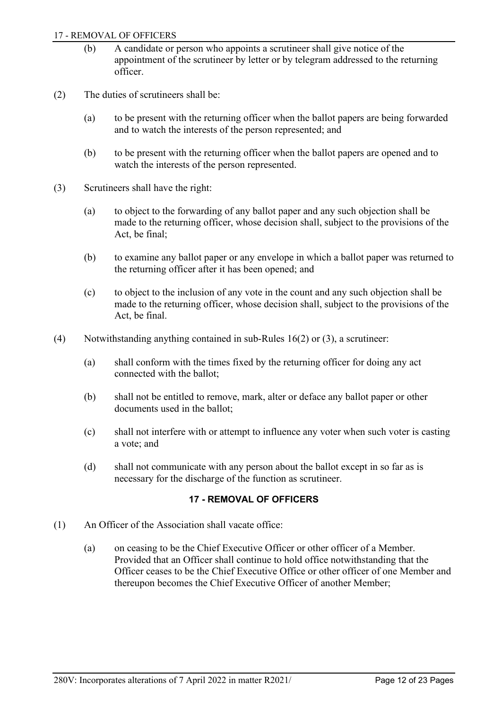#### 17 - REMOVAL OF OFFICERS

- (b) A candidate or person who appoints a scrutineer shall give notice of the appointment of the scrutineer by letter or by telegram addressed to the returning officer.
- (2) The duties of scrutineers shall be:
	- (a) to be present with the returning officer when the ballot papers are being forwarded and to watch the interests of the person represented; and
	- (b) to be present with the returning officer when the ballot papers are opened and to watch the interests of the person represented.
- (3) Scrutineers shall have the right:
	- (a) to object to the forwarding of any ballot paper and any such objection shall be made to the returning officer, whose decision shall, subject to the provisions of the Act, be final;
	- (b) to examine any ballot paper or any envelope in which a ballot paper was returned to the returning officer after it has been opened; and
	- (c) to object to the inclusion of any vote in the count and any such objection shall be made to the returning officer, whose decision shall, subject to the provisions of the Act, be final.
- (4) Notwithstanding anything contained in sub-Rules 16(2) or (3), a scrutineer:
	- (a) shall conform with the times fixed by the returning officer for doing any act connected with the ballot;
	- (b) shall not be entitled to remove, mark, alter or deface any ballot paper or other documents used in the ballot;
	- (c) shall not interfere with or attempt to influence any voter when such voter is casting a vote; and
	- (d) shall not communicate with any person about the ballot except in so far as is necessary for the discharge of the function as scrutineer.

## **17 - REMOVAL OF OFFICERS**

- <span id="page-13-0"></span>(1) An Officer of the Association shall vacate office:
	- (a) on ceasing to be the Chief Executive Officer or other officer of a Member. Provided that an Officer shall continue to hold office notwithstanding that the Officer ceases to be the Chief Executive Office or other officer of one Member and thereupon becomes the Chief Executive Officer of another Member;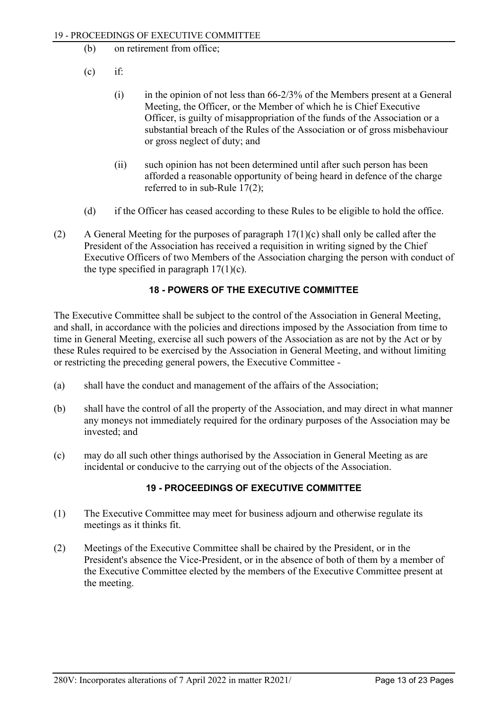- (b) on retirement from office;
- $(c)$  if:
	- (i) in the opinion of not less than 66-2/3% of the Members present at a General Meeting, the Officer, or the Member of which he is Chief Executive Officer, is guilty of misappropriation of the funds of the Association or a substantial breach of the Rules of the Association or of gross misbehaviour or gross neglect of duty; and
	- (ii) such opinion has not been determined until after such person has been afforded a reasonable opportunity of being heard in defence of the charge referred to in sub-Rule 17(2);
- (d) if the Officer has ceased according to these Rules to be eligible to hold the office.
- (2) A General Meeting for the purposes of paragraph  $17(1)(c)$  shall only be called after the President of the Association has received a requisition in writing signed by the Chief Executive Officers of two Members of the Association charging the person with conduct of the type specified in paragraph  $17(1)(c)$ .

# **18 - POWERS OF THE EXECUTIVE COMMITTEE**

<span id="page-14-0"></span>The Executive Committee shall be subject to the control of the Association in General Meeting, and shall, in accordance with the policies and directions imposed by the Association from time to time in General Meeting, exercise all such powers of the Association as are not by the Act or by these Rules required to be exercised by the Association in General Meeting, and without limiting or restricting the preceding general powers, the Executive Committee -

- (a) shall have the conduct and management of the affairs of the Association;
- (b) shall have the control of all the property of the Association, and may direct in what manner any moneys not immediately required for the ordinary purposes of the Association may be invested; and
- <span id="page-14-1"></span>(c) may do all such other things authorised by the Association in General Meeting as are incidental or conducive to the carrying out of the objects of the Association.

# **19 - PROCEEDINGS OF EXECUTIVE COMMITTEE**

- (1) The Executive Committee may meet for business adjourn and otherwise regulate its meetings as it thinks fit.
- (2) Meetings of the Executive Committee shall be chaired by the President, or in the President's absence the Vice-President, or in the absence of both of them by a member of the Executive Committee elected by the members of the Executive Committee present at the meeting.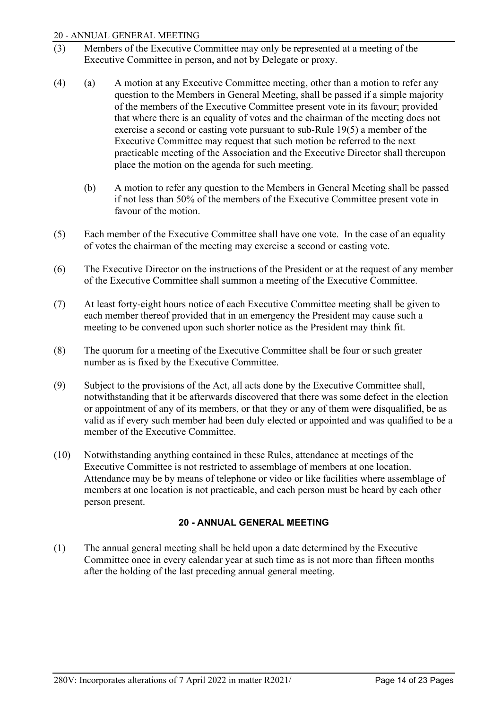## 20 - ANNUAL GENERAL MEETING

- (3) Members of the Executive Committee may only be represented at a meeting of the Executive Committee in person, and not by Delegate or proxy.
- (4) (a) A motion at any Executive Committee meeting, other than a motion to refer any question to the Members in General Meeting, shall be passed if a simple majority of the members of the Executive Committee present vote in its favour; provided that where there is an equality of votes and the chairman of the meeting does not exercise a second or casting vote pursuant to sub-Rule 19(5) a member of the Executive Committee may request that such motion be referred to the next practicable meeting of the Association and the Executive Director shall thereupon place the motion on the agenda for such meeting.
	- (b) A motion to refer any question to the Members in General Meeting shall be passed if not less than 50% of the members of the Executive Committee present vote in favour of the motion.
- (5) Each member of the Executive Committee shall have one vote. In the case of an equality of votes the chairman of the meeting may exercise a second or casting vote.
- (6) The Executive Director on the instructions of the President or at the request of any member of the Executive Committee shall summon a meeting of the Executive Committee.
- (7) At least forty-eight hours notice of each Executive Committee meeting shall be given to each member thereof provided that in an emergency the President may cause such a meeting to be convened upon such shorter notice as the President may think fit.
- (8) The quorum for a meeting of the Executive Committee shall be four or such greater number as is fixed by the Executive Committee.
- (9) Subject to the provisions of the Act, all acts done by the Executive Committee shall, notwithstanding that it be afterwards discovered that there was some defect in the election or appointment of any of its members, or that they or any of them were disqualified, be as valid as if every such member had been duly elected or appointed and was qualified to be a member of the Executive Committee.
- (10) Notwithstanding anything contained in these Rules, attendance at meetings of the Executive Committee is not restricted to assemblage of members at one location. Attendance may be by means of telephone or video or like facilities where assemblage of members at one location is not practicable, and each person must be heard by each other person present.

# **20 - ANNUAL GENERAL MEETING**

<span id="page-15-0"></span>(1) The annual general meeting shall be held upon a date determined by the Executive Committee once in every calendar year at such time as is not more than fifteen months after the holding of the last preceding annual general meeting.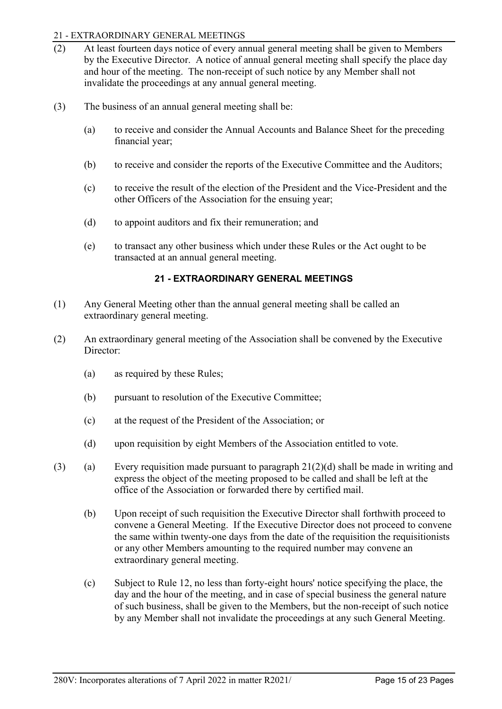## 21 - EXTRAORDINARY GENERAL MEETINGS

- (2) At least fourteen days notice of every annual general meeting shall be given to Members by the Executive Director. A notice of annual general meeting shall specify the place day and hour of the meeting. The non-receipt of such notice by any Member shall not invalidate the proceedings at any annual general meeting.
- (3) The business of an annual general meeting shall be:
	- (a) to receive and consider the Annual Accounts and Balance Sheet for the preceding financial year;
	- (b) to receive and consider the reports of the Executive Committee and the Auditors;
	- (c) to receive the result of the election of the President and the Vice-President and the other Officers of the Association for the ensuing year;
	- (d) to appoint auditors and fix their remuneration; and
	- (e) to transact any other business which under these Rules or the Act ought to be transacted at an annual general meeting.

## **21 - EXTRAORDINARY GENERAL MEETINGS**

- <span id="page-16-0"></span>(1) Any General Meeting other than the annual general meeting shall be called an extraordinary general meeting.
- (2) An extraordinary general meeting of the Association shall be convened by the Executive Director:
	- (a) as required by these Rules;
	- (b) pursuant to resolution of the Executive Committee;
	- (c) at the request of the President of the Association; or
	- (d) upon requisition by eight Members of the Association entitled to vote.
- (3) (a) Every requisition made pursuant to paragraph  $21(2)(d)$  shall be made in writing and express the object of the meeting proposed to be called and shall be left at the office of the Association or forwarded there by certified mail.
	- (b) Upon receipt of such requisition the Executive Director shall forthwith proceed to convene a General Meeting. If the Executive Director does not proceed to convene the same within twenty-one days from the date of the requisition the requisitionists or any other Members amounting to the required number may convene an extraordinary general meeting.
	- (c) Subject to Rule 12, no less than forty-eight hours' notice specifying the place, the day and the hour of the meeting, and in case of special business the general nature of such business, shall be given to the Members, but the non-receipt of such notice by any Member shall not invalidate the proceedings at any such General Meeting.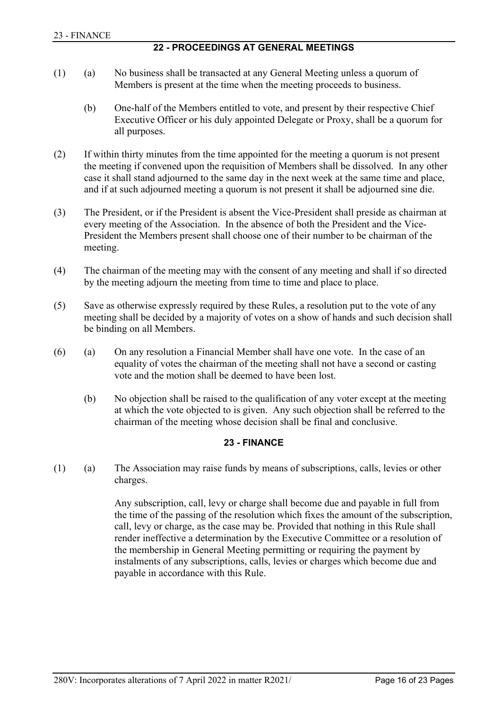# **22 - PROCEEDINGS AT GENERAL MEETINGS**

- <span id="page-17-0"></span>(1) (a) No business shall be transacted at any General Meeting unless a quorum of Members is present at the time when the meeting proceeds to business.
	- (b) One-half of the Members entitled to vote, and present by their respective Chief Executive Officer or his duly appointed Delegate or Proxy, shall be a quorum for all purposes.
- (2) If within thirty minutes from the time appointed for the meeting a quorum is not present the meeting if convened upon the requisition of Members shall be dissolved. In any other case it shall stand adjourned to the same day in the next week at the same time and place, and if at such adjourned meeting a quorum is not present it shall be adjourned sine die.
- (3) The President, or if the President is absent the Vice-President shall preside as chairman at every meeting of the Association. In the absence of both the President and the Vice-President the Members present shall choose one of their number to be chairman of the meeting.
- (4) The chairman of the meeting may with the consent of any meeting and shall if so directed by the meeting adjourn the meeting from time to time and place to place.
- (5) Save as otherwise expressly required by these Rules, a resolution put to the vote of any meeting shall be decided by a majority of votes on a show of hands and such decision shall be binding on all Members.
- (6) (a) On any resolution a Financial Member shall have one vote. In the case of an equality of votes the chairman of the meeting shall not have a second or casting vote and the motion shall be deemed to have been lost.
	- (b) No objection shall be raised to the qualification of any voter except at the meeting at which the vote objected to is given. Any such objection shall be referred to the chairman of the meeting whose decision shall be final and conclusive.

# **23 - FINANCE**

<span id="page-17-1"></span>(1) (a) The Association may raise funds by means of subscriptions, calls, levies or other charges.

> Any subscription, call, levy or charge shall become due and payable in full from the time of the passing of the resolution which fixes the amount of the subscription, call, levy or charge, as the case may be. Provided that nothing in this Rule shall render ineffective a determination by the Executive Committee or a resolution of the membership in General Meeting permitting or requiring the payment by instalments of any subscriptions, calls, levies or charges which become due and payable in accordance with this Rule.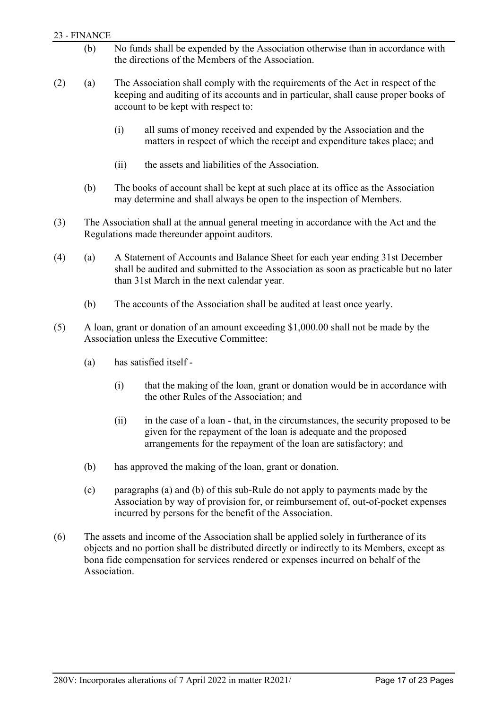## 23 - FINANCE

- (b) No funds shall be expended by the Association otherwise than in accordance with the directions of the Members of the Association.
- (2) (a) The Association shall comply with the requirements of the Act in respect of the keeping and auditing of its accounts and in particular, shall cause proper books of account to be kept with respect to:
	- (i) all sums of money received and expended by the Association and the matters in respect of which the receipt and expenditure takes place; and
	- (ii) the assets and liabilities of the Association.
	- (b) The books of account shall be kept at such place at its office as the Association may determine and shall always be open to the inspection of Members.
- (3) The Association shall at the annual general meeting in accordance with the Act and the Regulations made thereunder appoint auditors.
- (4) (a) A Statement of Accounts and Balance Sheet for each year ending 31st December shall be audited and submitted to the Association as soon as practicable but no later than 31st March in the next calendar year.
	- (b) The accounts of the Association shall be audited at least once yearly.
- (5) A loan, grant or donation of an amount exceeding \$1,000.00 shall not be made by the Association unless the Executive Committee:
	- (a) has satisfied itself
		- (i) that the making of the loan, grant or donation would be in accordance with the other Rules of the Association; and
		- (ii) in the case of a loan that, in the circumstances, the security proposed to be given for the repayment of the loan is adequate and the proposed arrangements for the repayment of the loan are satisfactory; and
	- (b) has approved the making of the loan, grant or donation.
	- (c) paragraphs (a) and (b) of this sub-Rule do not apply to payments made by the Association by way of provision for, or reimbursement of, out-of-pocket expenses incurred by persons for the benefit of the Association.
- (6) The assets and income of the Association shall be applied solely in furtherance of its objects and no portion shall be distributed directly or indirectly to its Members, except as bona fide compensation for services rendered or expenses incurred on behalf of the Association.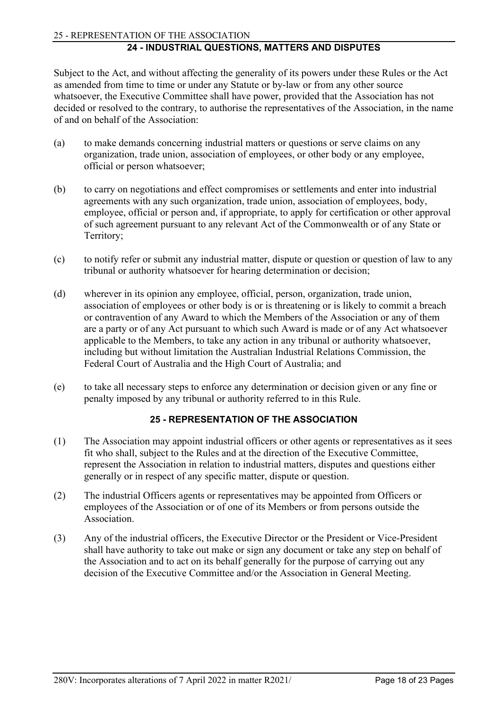# <span id="page-19-0"></span>25 - REPRESENTATION OF THE ASSOCIATION

# **24 - INDUSTRIAL QUESTIONS, MATTERS AND DISPUTES**

Subject to the Act, and without affecting the generality of its powers under these Rules or the Act as amended from time to time or under any Statute or by-law or from any other source whatsoever, the Executive Committee shall have power, provided that the Association has not decided or resolved to the contrary, to authorise the representatives of the Association, in the name of and on behalf of the Association:

- (a) to make demands concerning industrial matters or questions or serve claims on any organization, trade union, association of employees, or other body or any employee, official or person whatsoever;
- (b) to carry on negotiations and effect compromises or settlements and enter into industrial agreements with any such organization, trade union, association of employees, body, employee, official or person and, if appropriate, to apply for certification or other approval of such agreement pursuant to any relevant Act of the Commonwealth or of any State or Territory;
- (c) to notify refer or submit any industrial matter, dispute or question or question of law to any tribunal or authority whatsoever for hearing determination or decision;
- (d) wherever in its opinion any employee, official, person, organization, trade union, association of employees or other body is or is threatening or is likely to commit a breach or contravention of any Award to which the Members of the Association or any of them are a party or of any Act pursuant to which such Award is made or of any Act whatsoever applicable to the Members, to take any action in any tribunal or authority whatsoever, including but without limitation the Australian Industrial Relations Commission, the Federal Court of Australia and the High Court of Australia; and
- <span id="page-19-1"></span>(e) to take all necessary steps to enforce any determination or decision given or any fine or penalty imposed by any tribunal or authority referred to in this Rule.

# **25 - REPRESENTATION OF THE ASSOCIATION**

- (1) The Association may appoint industrial officers or other agents or representatives as it sees fit who shall, subject to the Rules and at the direction of the Executive Committee, represent the Association in relation to industrial matters, disputes and questions either generally or in respect of any specific matter, dispute or question.
- (2) The industrial Officers agents or representatives may be appointed from Officers or employees of the Association or of one of its Members or from persons outside the Association.
- (3) Any of the industrial officers, the Executive Director or the President or Vice-President shall have authority to take out make or sign any document or take any step on behalf of the Association and to act on its behalf generally for the purpose of carrying out any decision of the Executive Committee and/or the Association in General Meeting.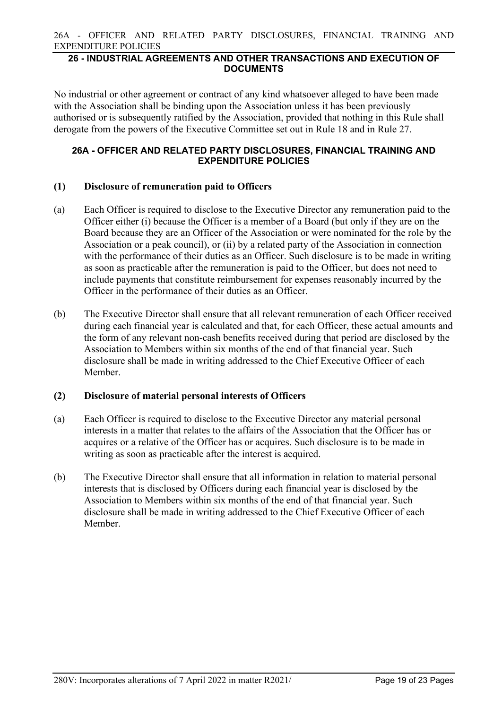26A - OFFICER AND RELATED PARTY DISCLOSURES, FINANCIAL TRAINING AND EXPENDITURE POLICIES

## <span id="page-20-0"></span>**26 - INDUSTRIAL AGREEMENTS AND OTHER TRANSACTIONS AND EXECUTION OF DOCUMENTS**

No industrial or other agreement or contract of any kind whatsoever alleged to have been made with the Association shall be binding upon the Association unless it has been previously authorised or is subsequently ratified by the Association, provided that nothing in this Rule shall derogate from the powers of the Executive Committee set out in Rule 18 and in Rule 27.

## <span id="page-20-1"></span>**26A - OFFICER AND RELATED PARTY DISCLOSURES, FINANCIAL TRAINING AND EXPENDITURE POLICIES**

## **(1) Disclosure of remuneration paid to Officers**

- (a) Each Officer is required to disclose to the Executive Director any remuneration paid to the Officer either (i) because the Officer is a member of a Board (but only if they are on the Board because they are an Officer of the Association or were nominated for the role by the Association or a peak council), or (ii) by a related party of the Association in connection with the performance of their duties as an Officer. Such disclosure is to be made in writing as soon as practicable after the remuneration is paid to the Officer, but does not need to include payments that constitute reimbursement for expenses reasonably incurred by the Officer in the performance of their duties as an Officer.
- (b) The Executive Director shall ensure that all relevant remuneration of each Officer received during each financial year is calculated and that, for each Officer, these actual amounts and the form of any relevant non-cash benefits received during that period are disclosed by the Association to Members within six months of the end of that financial year. Such disclosure shall be made in writing addressed to the Chief Executive Officer of each Member.

## **(2) Disclosure of material personal interests of Officers**

- (a) Each Officer is required to disclose to the Executive Director any material personal interests in a matter that relates to the affairs of the Association that the Officer has or acquires or a relative of the Officer has or acquires. Such disclosure is to be made in writing as soon as practicable after the interest is acquired.
- (b) The Executive Director shall ensure that all information in relation to material personal interests that is disclosed by Officers during each financial year is disclosed by the Association to Members within six months of the end of that financial year. Such disclosure shall be made in writing addressed to the Chief Executive Officer of each Member.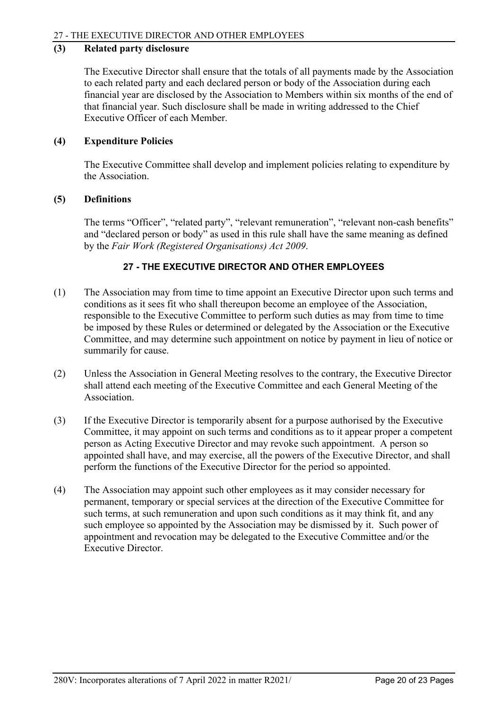# **(3) Related party disclosure**

The Executive Director shall ensure that the totals of all payments made by the Association to each related party and each declared person or body of the Association during each financial year are disclosed by the Association to Members within six months of the end of that financial year. Such disclosure shall be made in writing addressed to the Chief Executive Officer of each Member.

## **(4) Expenditure Policies**

The Executive Committee shall develop and implement policies relating to expenditure by the Association.

## **(5) Definitions**

The terms "Officer", "related party", "relevant remuneration", "relevant non-cash benefits" and "declared person or body" as used in this rule shall have the same meaning as defined by the *Fair Work (Registered Organisations) Act 2009*.

# **27 - THE EXECUTIVE DIRECTOR AND OTHER EMPLOYEES**

- <span id="page-21-0"></span>(1) The Association may from time to time appoint an Executive Director upon such terms and conditions as it sees fit who shall thereupon become an employee of the Association, responsible to the Executive Committee to perform such duties as may from time to time be imposed by these Rules or determined or delegated by the Association or the Executive Committee, and may determine such appointment on notice by payment in lieu of notice or summarily for cause.
- (2) Unless the Association in General Meeting resolves to the contrary, the Executive Director shall attend each meeting of the Executive Committee and each General Meeting of the Association.
- (3) If the Executive Director is temporarily absent for a purpose authorised by the Executive Committee, it may appoint on such terms and conditions as to it appear proper a competent person as Acting Executive Director and may revoke such appointment. A person so appointed shall have, and may exercise, all the powers of the Executive Director, and shall perform the functions of the Executive Director for the period so appointed.
- (4) The Association may appoint such other employees as it may consider necessary for permanent, temporary or special services at the direction of the Executive Committee for such terms, at such remuneration and upon such conditions as it may think fit, and any such employee so appointed by the Association may be dismissed by it. Such power of appointment and revocation may be delegated to the Executive Committee and/or the Executive Director.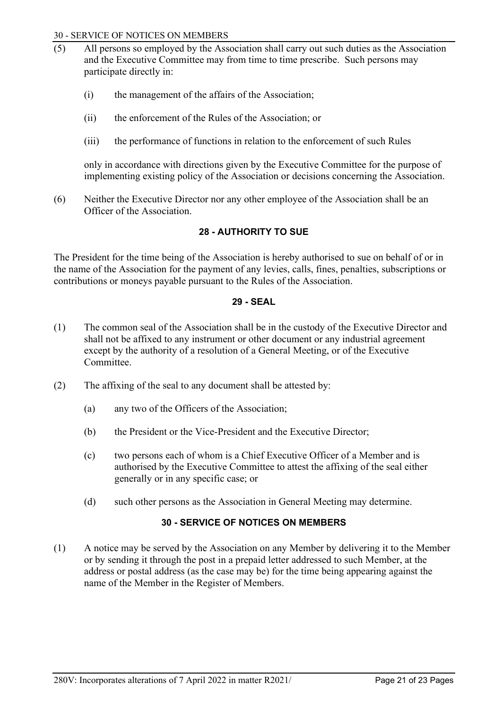#### 30 - SERVICE OF NOTICES ON MEMBERS

- $(5)$  All persons so employed by the Association shall carry out such duties as the Association and the Executive Committee may from time to time prescribe. Such persons may participate directly in:
	- (i) the management of the affairs of the Association;
	- (ii) the enforcement of the Rules of the Association; or
	- (iii) the performance of functions in relation to the enforcement of such Rules

only in accordance with directions given by the Executive Committee for the purpose of implementing existing policy of the Association or decisions concerning the Association.

<span id="page-22-0"></span>(6) Neither the Executive Director nor any other employee of the Association shall be an Officer of the Association.

## **28 - AUTHORITY TO SUE**

<span id="page-22-1"></span>The President for the time being of the Association is hereby authorised to sue on behalf of or in the name of the Association for the payment of any levies, calls, fines, penalties, subscriptions or contributions or moneys payable pursuant to the Rules of the Association.

## **29 - SEAL**

- (1) The common seal of the Association shall be in the custody of the Executive Director and shall not be affixed to any instrument or other document or any industrial agreement except by the authority of a resolution of a General Meeting, or of the Executive Committee.
- (2) The affixing of the seal to any document shall be attested by:
	- (a) any two of the Officers of the Association;
	- (b) the President or the Vice-President and the Executive Director;
	- (c) two persons each of whom is a Chief Executive Officer of a Member and is authorised by the Executive Committee to attest the affixing of the seal either generally or in any specific case; or
	- (d) such other persons as the Association in General Meeting may determine.

# **30 - SERVICE OF NOTICES ON MEMBERS**

<span id="page-22-2"></span>(1) A notice may be served by the Association on any Member by delivering it to the Member or by sending it through the post in a prepaid letter addressed to such Member, at the address or postal address (as the case may be) for the time being appearing against the name of the Member in the Register of Members.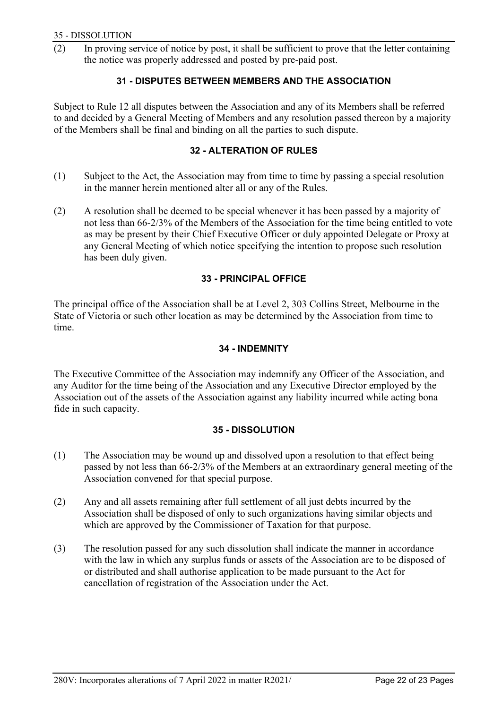<span id="page-23-0"></span>(2) In proving service of notice by post, it shall be sufficient to prove that the letter containing the notice was properly addressed and posted by pre-paid post.

# **31 - DISPUTES BETWEEN MEMBERS AND THE ASSOCIATION**

<span id="page-23-1"></span>Subject to Rule 12 all disputes between the Association and any of its Members shall be referred to and decided by a General Meeting of Members and any resolution passed thereon by a majority of the Members shall be final and binding on all the parties to such dispute.

## **32 - ALTERATION OF RULES**

- (1) Subject to the Act, the Association may from time to time by passing a special resolution in the manner herein mentioned alter all or any of the Rules.
- (2) A resolution shall be deemed to be special whenever it has been passed by a majority of not less than 66-2/3% of the Members of the Association for the time being entitled to vote as may be present by their Chief Executive Officer or duly appointed Delegate or Proxy at any General Meeting of which notice specifying the intention to propose such resolution has been duly given.

# **33 - PRINCIPAL OFFICE**

<span id="page-23-3"></span><span id="page-23-2"></span>The principal office of the Association shall be at Level 2, 303 Collins Street, Melbourne in the State of Victoria or such other location as may be determined by the Association from time to time.

## **34 - INDEMNITY**

The Executive Committee of the Association may indemnify any Officer of the Association, and any Auditor for the time being of the Association and any Executive Director employed by the Association out of the assets of the Association against any liability incurred while acting bona fide in such capacity.

# **35 - DISSOLUTION**

- <span id="page-23-4"></span>(1) The Association may be wound up and dissolved upon a resolution to that effect being passed by not less than 66-2/3% of the Members at an extraordinary general meeting of the Association convened for that special purpose.
- (2) Any and all assets remaining after full settlement of all just debts incurred by the Association shall be disposed of only to such organizations having similar objects and which are approved by the Commissioner of Taxation for that purpose.
- (3) The resolution passed for any such dissolution shall indicate the manner in accordance with the law in which any surplus funds or assets of the Association are to be disposed of or distributed and shall authorise application to be made pursuant to the Act for cancellation of registration of the Association under the Act.